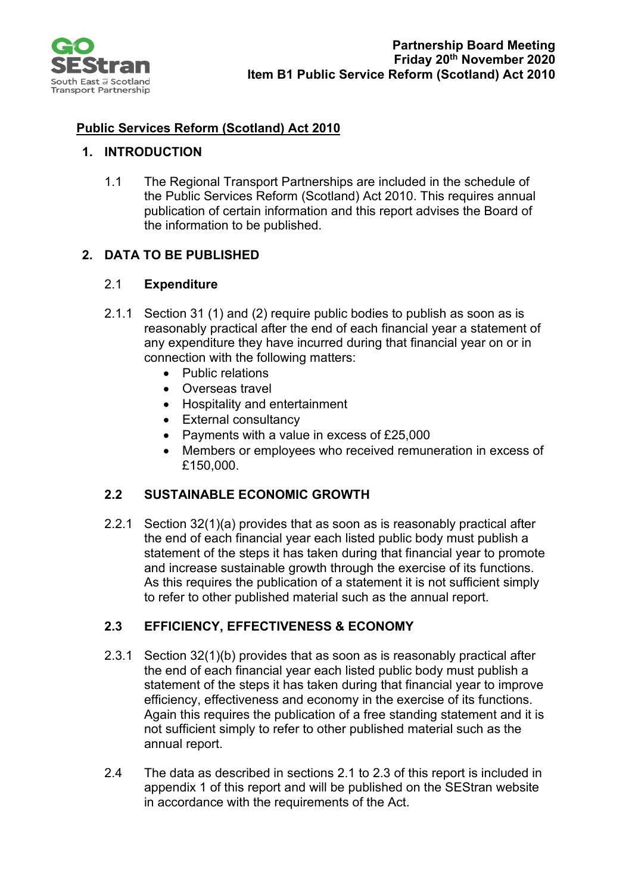

# **Public Services Reform (Scotland) Act 2010**

## **1. INTRODUCTION**

1.1 The Regional Transport Partnerships are included in the schedule of the Public Services Reform (Scotland) Act 2010. This requires annual publication of certain information and this report advises the Board of the information to be published.

## **2. DATA TO BE PUBLISHED**

## 2.1 **Expenditure**

- 2.1.1 Section 31 (1) and (2) require public bodies to publish as soon as is reasonably practical after the end of each financial year a statement of any expenditure they have incurred during that financial year on or in connection with the following matters:
	- Public relations
	- Overseas travel
	- Hospitality and entertainment
	- External consultancy
	- Payments with a value in excess of £25,000
	- Members or employees who received remuneration in excess of £150,000.

## **2.2 SUSTAINABLE ECONOMIC GROWTH**

2.2.1 Section 32(1)(a) provides that as soon as is reasonably practical after the end of each financial year each listed public body must publish a statement of the steps it has taken during that financial year to promote and increase sustainable growth through the exercise of its functions. As this requires the publication of a statement it is not sufficient simply to refer to other published material such as the annual report.

## **2.3 EFFICIENCY, EFFECTIVENESS & ECONOMY**

- 2.3.1 Section 32(1)(b) provides that as soon as is reasonably practical after the end of each financial year each listed public body must publish a statement of the steps it has taken during that financial year to improve efficiency, effectiveness and economy in the exercise of its functions. Again this requires the publication of a free standing statement and it is not sufficient simply to refer to other published material such as the annual report.
- 2.4 The data as described in sections 2.1 to 2.3 of this report is included in appendix 1 of this report and will be published on the SEStran website in accordance with the requirements of the Act.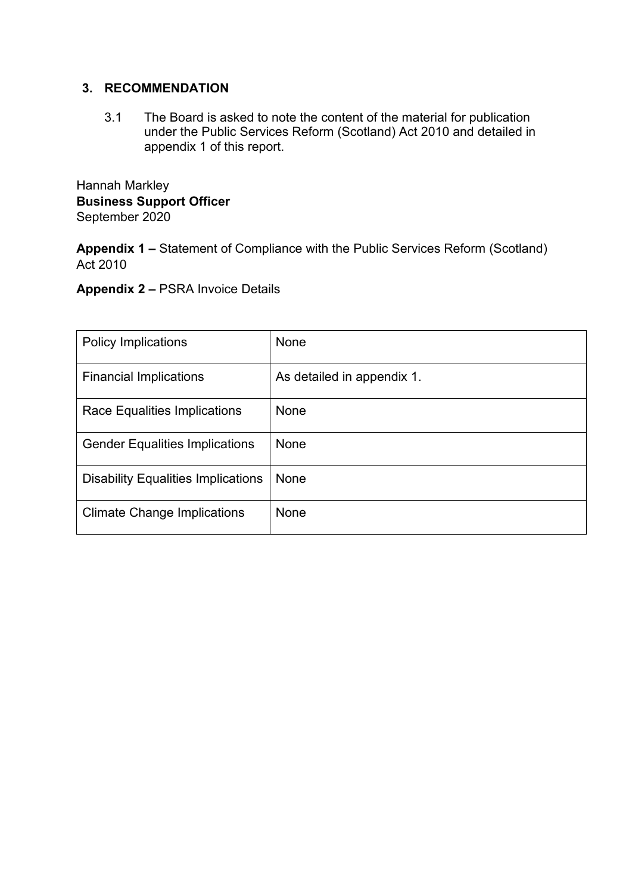## **3. RECOMMENDATION**

3.1 The Board is asked to note the content of the material for publication under the Public Services Reform (Scotland) Act 2010 and detailed in appendix 1 of this report.

Hannah Markley **Business Support Officer**  September 2020

**Appendix 1 –** Statement of Compliance with the Public Services Reform (Scotland) Act 2010

**Appendix 2 –** PSRA Invoice Details

| <b>Policy Implications</b>                | None                       |
|-------------------------------------------|----------------------------|
| <b>Financial Implications</b>             | As detailed in appendix 1. |
| Race Equalities Implications              | None                       |
| <b>Gender Equalities Implications</b>     | None                       |
| <b>Disability Equalities Implications</b> | None                       |
| <b>Climate Change Implications</b>        | None                       |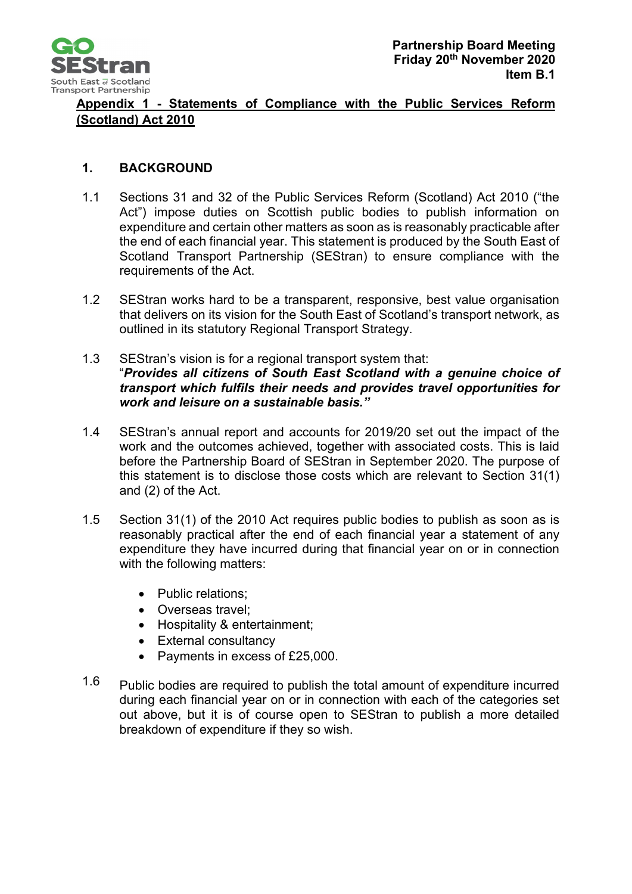

## **Appendix 1 - Statements of Compliance with the Public Services Reform (Scotland) Act 2010**

## **1. BACKGROUND**

- 1.1 Sections 31 and 32 of the Public Services Reform (Scotland) Act 2010 ("the Act") impose duties on Scottish public bodies to publish information on expenditure and certain other matters as soon as is reasonably practicable after the end of each financial year. This statement is produced by the South East of Scotland Transport Partnership (SEStran) to ensure compliance with the requirements of the Act.
- 1.2 SEStran works hard to be a transparent, responsive, best value organisation that delivers on its vision for the South East of Scotland's transport network, as outlined in its statutory Regional Transport Strategy.
- 1.3 SEStran's vision is for a regional transport system that: "*Provides all citizens of South East Scotland with a genuine choice of transport which fulfils their needs and provides travel opportunities for work and leisure on a sustainable basis."*
- 1.4 SEStran's annual report and accounts for 2019/20 set out the impact of the work and the outcomes achieved, together with associated costs. This is laid before the Partnership Board of SEStran in September 2020. The purpose of this statement is to disclose those costs which are relevant to Section 31(1) and (2) of the Act.
- 1.5 Section 31(1) of the 2010 Act requires public bodies to publish as soon as is reasonably practical after the end of each financial year a statement of any expenditure they have incurred during that financial year on or in connection with the following matters:
	- Public relations;
	- Overseas travel;
	- Hospitality & entertainment;
	- External consultancy
	- Payments in excess of £25,000.
- 1.6 Public bodies are required to publish the total amount of expenditure incurred during each financial year on or in connection with each of the categories set out above, but it is of course open to SEStran to publish a more detailed breakdown of expenditure if they so wish.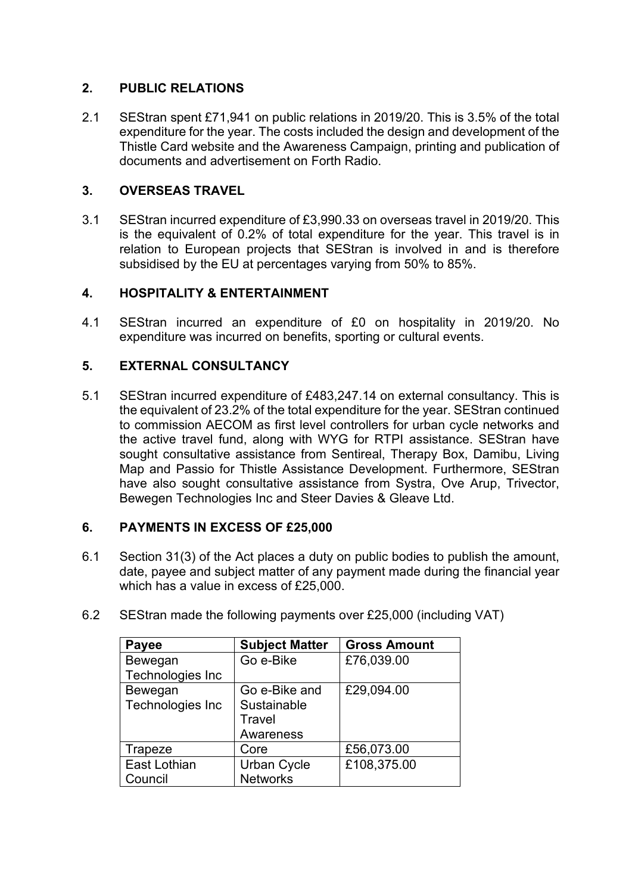## **2. PUBLIC RELATIONS**

2.1 SEStran spent £71,941 on public relations in 2019/20. This is 3.5% of the total expenditure for the year. The costs included the design and development of the Thistle Card website and the Awareness Campaign, printing and publication of documents and advertisement on Forth Radio.

## **3. OVERSEAS TRAVEL**

3.1 SEStran incurred expenditure of £3,990.33 on overseas travel in 2019/20. This is the equivalent of 0.2% of total expenditure for the year. This travel is in relation to European projects that SEStran is involved in and is therefore subsidised by the EU at percentages varying from 50% to 85%.

## **4. HOSPITALITY & ENTERTAINMENT**

4.1 SEStran incurred an expenditure of £0 on hospitality in 2019/20. No expenditure was incurred on benefits, sporting or cultural events.

## **5. EXTERNAL CONSULTANCY**

5.1 SEStran incurred expenditure of £483,247.14 on external consultancy. This is the equivalent of 23.2% of the total expenditure for the year. SEStran continued to commission AECOM as first level controllers for urban cycle networks and the active travel fund, along with WYG for RTPI assistance. SEStran have sought consultative assistance from Sentireal, Therapy Box, Damibu, Living Map and Passio for Thistle Assistance Development. Furthermore, SEStran have also sought consultative assistance from Systra, Ove Arup, Trivector, Bewegen Technologies Inc and Steer Davies & Gleave Ltd.

## **6. PAYMENTS IN EXCESS OF £25,000**

6.1 Section 31(3) of the Act places a duty on public bodies to publish the amount, date, payee and subject matter of any payment made during the financial year which has a value in excess of £25,000.

| Payee               | <b>Subject Matter</b> | <b>Gross Amount</b> |
|---------------------|-----------------------|---------------------|
| Bewegan             | Go e-Bike             | £76,039.00          |
| Technologies Inc    |                       |                     |
| Bewegan             | Go e-Bike and         | £29,094.00          |
| Technologies Inc    | Sustainable           |                     |
|                     | Travel                |                     |
|                     | Awareness             |                     |
| Trapeze             | Core                  | £56,073.00          |
| <b>East Lothian</b> | <b>Urban Cycle</b>    | £108,375.00         |
| Council             | <b>Networks</b>       |                     |

6.2 SEStran made the following payments over £25,000 (including VAT)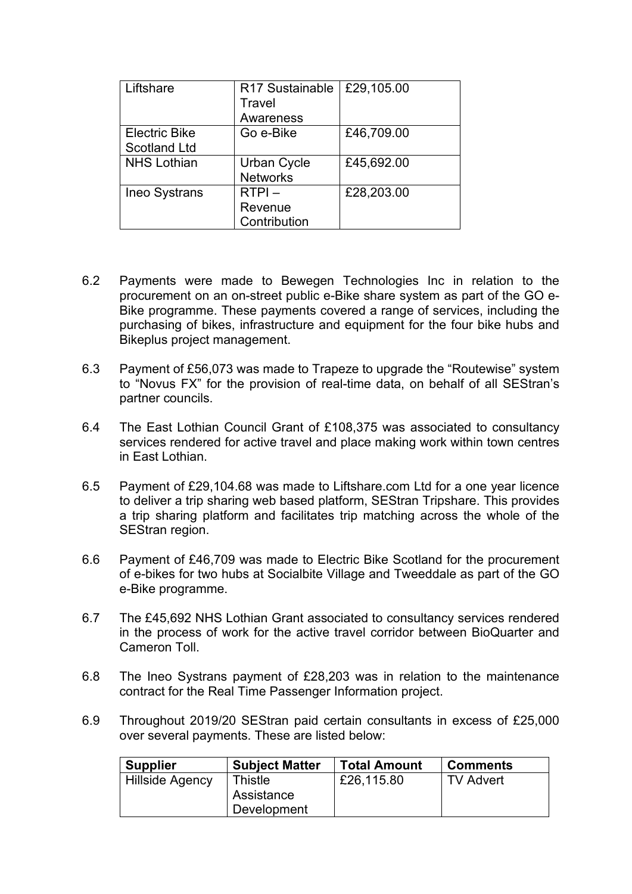| Liftshare            | R17 Sustainable | £29,105.00 |
|----------------------|-----------------|------------|
|                      | Travel          |            |
|                      | Awareness       |            |
| <b>Electric Bike</b> | Go e-Bike       | £46,709.00 |
| <b>Scotland Ltd</b>  |                 |            |
| <b>NHS Lothian</b>   | Urban Cycle     | £45,692.00 |
|                      | <b>Networks</b> |            |
| <b>Ineo Systrans</b> | $RTPI -$        | £28,203.00 |
|                      | Revenue         |            |
|                      | Contribution    |            |

- 6.2 Payments were made to Bewegen Technologies Inc in relation to the procurement on an on-street public e-Bike share system as part of the GO e-Bike programme. These payments covered a range of services, including the purchasing of bikes, infrastructure and equipment for the four bike hubs and Bikeplus project management.
- 6.3 Payment of £56,073 was made to Trapeze to upgrade the "Routewise" system to "Novus FX" for the provision of real-time data, on behalf of all SEStran's partner councils.
- 6.4 The East Lothian Council Grant of £108,375 was associated to consultancy services rendered for active travel and place making work within town centres in East Lothian.
- 6.5 Payment of £29,104.68 was made to Liftshare.com Ltd for a one year licence to deliver a trip sharing web based platform, SEStran Tripshare. This provides a trip sharing platform and facilitates trip matching across the whole of the SEStran region.
- 6.6 Payment of £46,709 was made to Electric Bike Scotland for the procurement of e-bikes for two hubs at Socialbite Village and Tweeddale as part of the GO e-Bike programme.
- 6.7 The £45,692 NHS Lothian Grant associated to consultancy services rendered in the process of work for the active travel corridor between BioQuarter and Cameron Toll.
- 6.8 The Ineo Systrans payment of £28,203 was in relation to the maintenance contract for the Real Time Passenger Information project.
- 6.9 Throughout 2019/20 SEStran paid certain consultants in excess of £25,000 over several payments. These are listed below:

| <b>Supplier</b> | <b>Subject Matter</b> | <b>Total Amount</b> | <b>Comments</b> |
|-----------------|-----------------------|---------------------|-----------------|
| Hillside Agency | Thistle<br>Assistance | £26,115.80          | TV Advert       |
|                 | Development           |                     |                 |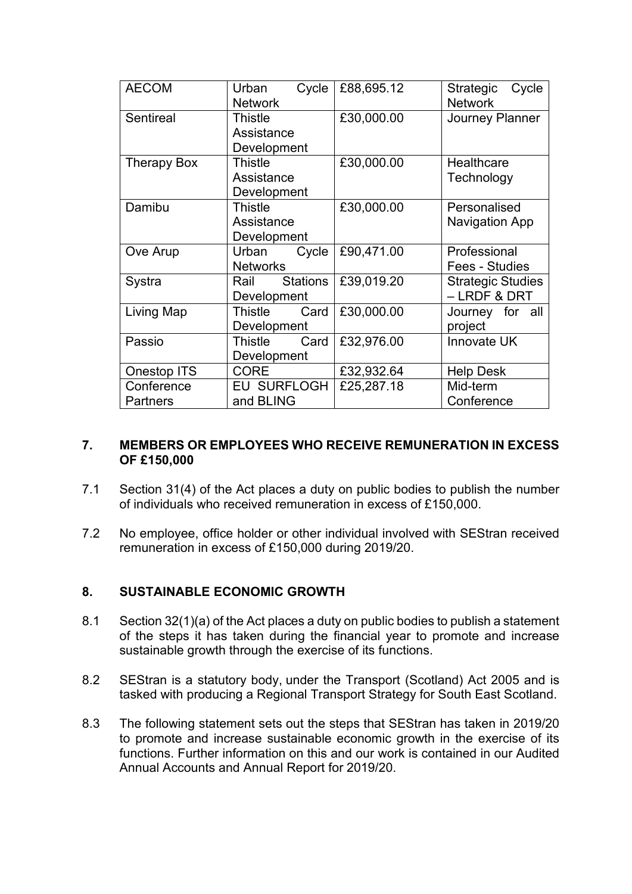| <b>AECOM</b>                  | Cycle<br>Urban<br><b>Network</b>       | £88,695.12 | Strategic<br>Cycle<br><b>Network</b>     |
|-------------------------------|----------------------------------------|------------|------------------------------------------|
| Sentireal                     | Thistle<br>Assistance<br>Development   | £30,000.00 | <b>Journey Planner</b>                   |
| <b>Therapy Box</b>            | Thistle<br>Assistance<br>Development   | £30,000.00 | <b>Healthcare</b><br>Technology          |
| Damibu                        | Thistle<br>Assistance<br>Development   | £30,000.00 | Personalised<br><b>Navigation App</b>    |
| Ove Arup                      | Urban<br>Cycle<br><b>Networks</b>      | £90,471.00 | Professional<br>Fees - Studies           |
| Systra                        | <b>Stations</b><br>Rail<br>Development | £39,019.20 | <b>Strategic Studies</b><br>- LRDF & DRT |
| Living Map                    | Thistle<br>Card<br>Development         | £30,000.00 | Journey for all<br>project               |
| Passio                        | Thistle<br>Card<br>Development         | £32,976.00 | <b>Innovate UK</b>                       |
| <b>Onestop ITS</b>            | <b>CORE</b>                            | £32,932.64 | <b>Help Desk</b>                         |
| Conference<br><b>Partners</b> | <b>EU SURFLOGH</b><br>and BLING        | £25,287.18 | Mid-term<br>Conference                   |

### **7. MEMBERS OR EMPLOYEES WHO RECEIVE REMUNERATION IN EXCESS OF £150,000**

- 7.1 Section 31(4) of the Act places a duty on public bodies to publish the number of individuals who received remuneration in excess of £150,000.
- 7.2 No employee, office holder or other individual involved with SEStran received remuneration in excess of £150,000 during 2019/20.

### **8. SUSTAINABLE ECONOMIC GROWTH**

- 8.1 Section 32(1)(a) of the Act places a duty on public bodies to publish a statement of the steps it has taken during the financial year to promote and increase sustainable growth through the exercise of its functions.
- 8.2 SEStran is a statutory body, under the Transport (Scotland) Act 2005 and is tasked with producing a Regional Transport Strategy for South East Scotland.
- 8.3 The following statement sets out the steps that SEStran has taken in 2019/20 to promote and increase sustainable economic growth in the exercise of its functions. Further information on this and our work is contained in our Audited Annual Accounts and Annual Report for 2019/20.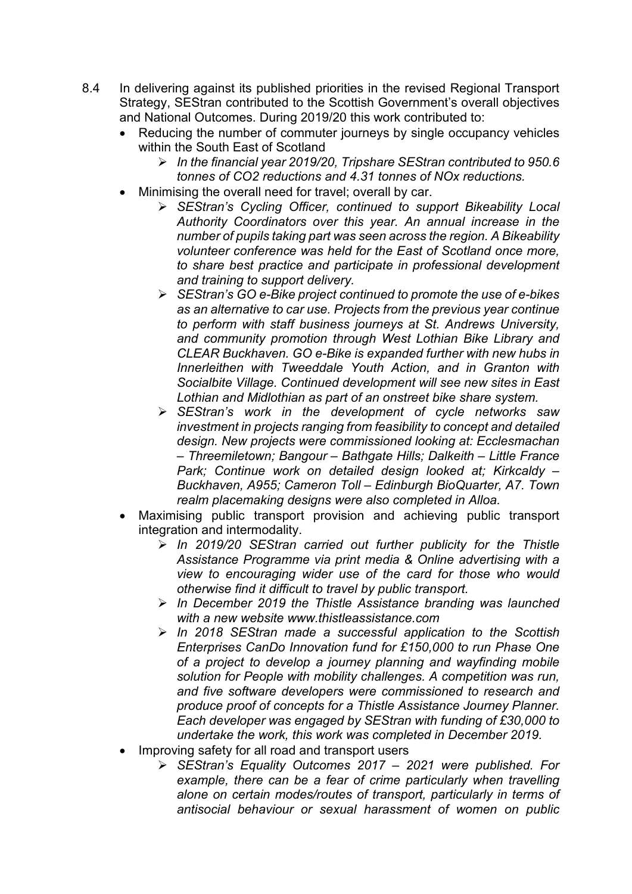- 8.4 In delivering against its published priorities in the revised Regional Transport Strategy, SEStran contributed to the Scottish Government's overall objectives and National Outcomes. During 2019/20 this work contributed to:
	- Reducing the number of commuter journeys by single occupancy vehicles within the South East of Scotland
		- *In the financial year 2019/20, Tripshare SEStran contributed to 950.6 tonnes of CO2 reductions and 4.31 tonnes of NOx reductions.*
	- Minimising the overall need for travel; overall by car.
		- *SEStran's Cycling Officer, continued to support Bikeability Local Authority Coordinators over this year. An annual increase in the number of pupils taking part was seen across the region. A Bikeability volunteer conference was held for the East of Scotland once more, to share best practice and participate in professional development and training to support delivery.*
		- *SEStran's GO e-Bike project continued to promote the use of e-bikes as an alternative to car use. Projects from the previous year continue to perform with staff business journeys at St. Andrews University, and community promotion through West Lothian Bike Library and CLEAR Buckhaven. GO e-Bike is expanded further with new hubs in Innerleithen with Tweeddale Youth Action, and in Granton with Socialbite Village. Continued development will see new sites in East Lothian and Midlothian as part of an onstreet bike share system.*
		- *SEStran's work in the development of cycle networks saw investment in projects ranging from feasibility to concept and detailed design. New projects were commissioned looking at: Ecclesmachan – Threemiletown; Bangour – Bathgate Hills; Dalkeith – Little France Park; Continue work on detailed design looked at; Kirkcaldy – Buckhaven, A955; Cameron Toll – Edinburgh BioQuarter, A7. Town realm placemaking designs were also completed in Alloa.*
	- Maximising public transport provision and achieving public transport integration and intermodality.
		- *In 2019/20 SEStran carried out further publicity for the Thistle Assistance Programme via print media & Online advertising with a view to encouraging wider use of the card for those who would otherwise find it difficult to travel by public transport.*
		- *In December 2019 the Thistle Assistance branding was launched with a new website www.thistleassistance.com*
		- *In 2018 SEStran made a successful application to the Scottish Enterprises CanDo Innovation fund for £150,000 to run Phase One of a project to develop a journey planning and wayfinding mobile solution for People with mobility challenges. A competition was run, and five software developers were commissioned to research and produce proof of concepts for a Thistle Assistance Journey Planner. Each developer was engaged by SEStran with funding of £30,000 to undertake the work, this work was completed in December 2019.*
	- Improving safety for all road and transport users
		- *SEStran's Equality Outcomes 2017 – 2021 were published. For*  example, there can be a fear of crime particularly when travelling *alone on certain modes/routes of transport, particularly in terms of antisocial behaviour or sexual harassment of women on public*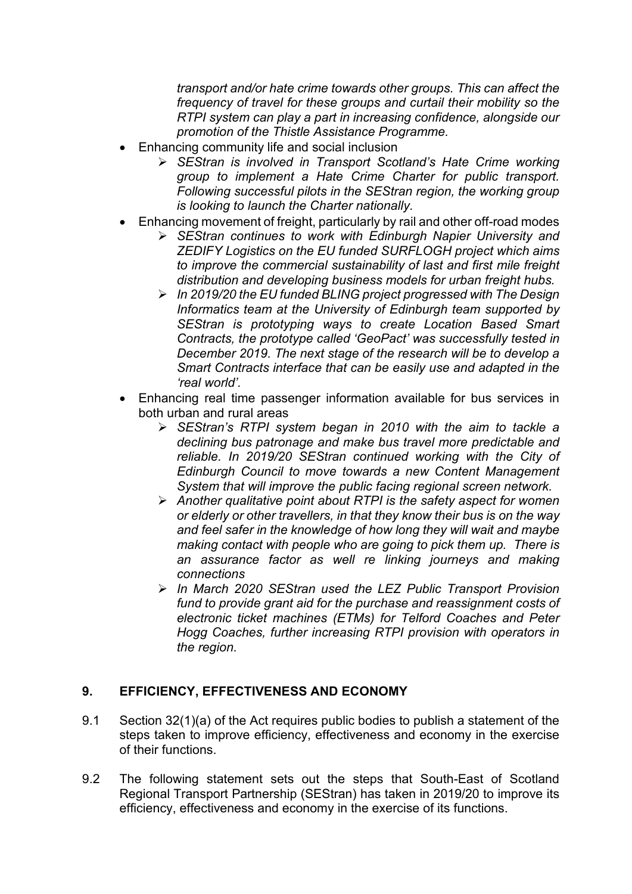*transport and/or hate crime towards other groups. This can affect the frequency of travel for these groups and curtail their mobility so the RTPI system can play a part in increasing confidence, alongside our promotion of the Thistle Assistance Programme.*

- Enhancing community life and social inclusion
	- *SEStran is involved in Transport Scotland's Hate Crime working group to implement a Hate Crime Charter for public transport. Following successful pilots in the SEStran region, the working group is looking to launch the Charter nationally.*
- Enhancing movement of freight, particularly by rail and other off-road modes
	- *SEStran continues to work with Edinburgh Napier University and ZEDIFY Logistics on the EU funded SURFLOGH project which aims to improve the commercial sustainability of last and first mile freight distribution and developing business models for urban freight hubs.*
	- *In 2019/20 the EU funded BLING project progressed with The Design Informatics team at the University of Edinburgh team supported by SEStran is prototyping ways to create Location Based Smart Contracts, the prototype called 'GeoPact' was successfully tested in December 2019. The next stage of the research will be to develop a Smart Contracts interface that can be easily use and adapted in the 'real world'.*
- Enhancing real time passenger information available for bus services in both urban and rural areas
	- *SEStran's RTPI system began in 2010 with the aim to tackle a declining bus patronage and make bus travel more predictable and reliable. In 2019/20 SEStran continued working with the City of Edinburgh Council to move towards a new Content Management System that will improve the public facing regional screen network.*
	- *Another qualitative point about RTPI is the safety aspect for women or elderly or other travellers, in that they know their bus is on the way and feel safer in the knowledge of how long they will wait and maybe making contact with people who are going to pick them up. There is an assurance factor as well re linking journeys and making connections*
	- *In March 2020 SEStran used the LEZ Public Transport Provision fund to provide grant aid for the purchase and reassignment costs of electronic ticket machines (ETMs) for Telford Coaches and Peter Hogg Coaches, further increasing RTPI provision with operators in the region.*

## **9. EFFICIENCY, EFFECTIVENESS AND ECONOMY**

- 9.1 Section 32(1)(a) of the Act requires public bodies to publish a statement of the steps taken to improve efficiency, effectiveness and economy in the exercise of their functions.
- 9.2 The following statement sets out the steps that South-East of Scotland Regional Transport Partnership (SEStran) has taken in 2019/20 to improve its efficiency, effectiveness and economy in the exercise of its functions.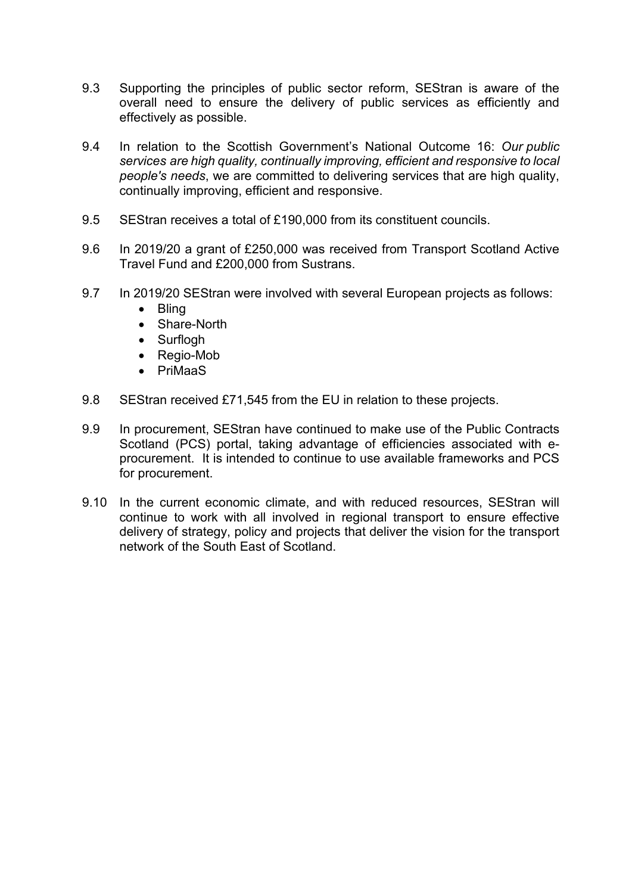- 9.3 Supporting the principles of public sector reform, SEStran is aware of the overall need to ensure the delivery of public services as efficiently and effectively as possible.
- 9.4 In relation to the Scottish Government's National Outcome 16: *Our public services are high quality, continually improving, efficient and responsive to local people's needs*, we are committed to delivering services that are high quality, continually improving, efficient and responsive.
- 9.5 SEStran receives a total of £190,000 from its constituent councils.
- 9.6 In 2019/20 a grant of £250,000 was received from Transport Scotland Active Travel Fund and £200,000 from Sustrans.
- 9.7 In 2019/20 SEStran were involved with several European projects as follows:
	- Bling
	- Share-North
	- Surflogh
	- Regio-Mob
	- PriMaaS
- 9.8 SEStran received £71,545 from the EU in relation to these projects.
- 9.9 In procurement, SEStran have continued to make use of the Public Contracts Scotland (PCS) portal, taking advantage of efficiencies associated with eprocurement. It is intended to continue to use available frameworks and PCS for procurement.
- 9.10 In the current economic climate, and with reduced resources, SEStran will continue to work with all involved in regional transport to ensure effective delivery of strategy, policy and projects that deliver the vision for the transport network of the South East of Scotland.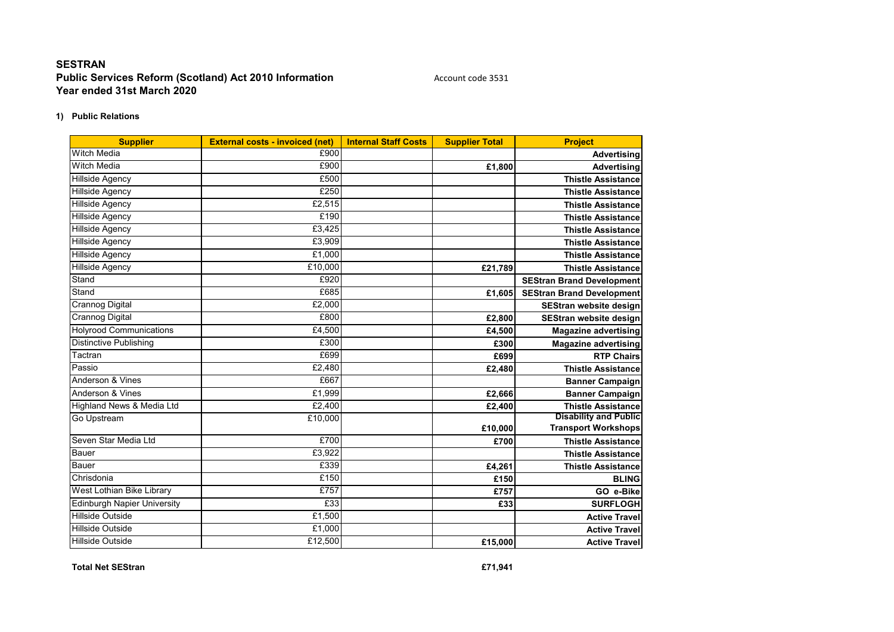#### **1) Public Relations**

| <b>Supplier</b>                    | <b>External costs - invoiced (net)</b> | <b>Internal Staff Costs</b> | <b>Supplier Total</b> | <b>Project</b>                   |
|------------------------------------|----------------------------------------|-----------------------------|-----------------------|----------------------------------|
| <b>Witch Media</b>                 | £900                                   |                             |                       | <b>Advertising</b>               |
| Witch Media                        | £900                                   |                             | £1,800                | <b>Advertising</b>               |
| <b>Hillside Agency</b>             | £500                                   |                             |                       | <b>Thistle Assistance</b>        |
| <b>Hillside Agency</b>             | £250                                   |                             |                       | <b>Thistle Assistance</b>        |
| <b>Hillside Agency</b>             | £2,515                                 |                             |                       | <b>Thistle Assistance</b>        |
| <b>Hillside Agency</b>             | £190                                   |                             |                       | <b>Thistle Assistance</b>        |
| <b>Hillside Agency</b>             | £3.425                                 |                             |                       | <b>Thistle Assistance</b>        |
| <b>Hillside Agency</b>             | £3,909                                 |                             |                       | <b>Thistle Assistance</b>        |
| <b>Hillside Agency</b>             | £1,000                                 |                             |                       | <b>Thistle Assistance</b>        |
| <b>Hillside Agency</b>             | £10,000                                |                             | £21,789               | <b>Thistle Assistance</b>        |
| Stand                              | £920                                   |                             |                       | <b>SEStran Brand Development</b> |
| Stand                              | £685                                   |                             | £1,605                | <b>SEStran Brand Development</b> |
| <b>Crannog Digital</b>             | £2,000                                 |                             |                       | SEStran website design           |
| <b>Crannog Digital</b>             | £800                                   |                             | £2,800                | <b>SEStran website design</b>    |
| <b>Holyrood Communications</b>     | £4,500                                 |                             | £4,500                | <b>Magazine advertising</b>      |
| <b>Distinctive Publishing</b>      | £300                                   |                             | £300                  | <b>Magazine advertising</b>      |
| Tactran                            | £699                                   |                             | £699                  | <b>RTP Chairs</b>                |
| Passio                             | £2,480                                 |                             | £2,480                | <b>Thistle Assistance</b>        |
| Anderson & Vines                   | £667                                   |                             |                       | <b>Banner Campaign</b>           |
| Anderson & Vines                   | £1,999                                 |                             | £2,666                | <b>Banner Campaign</b>           |
| Highland News & Media Ltd          | £2,400                                 |                             | £2.400                | <b>Thistle Assistance</b>        |
| Go Upstream                        | £10,000                                |                             |                       | <b>Disability and Public</b>     |
|                                    |                                        |                             | £10,000               | <b>Transport Workshops</b>       |
| Seven Star Media Ltd               | £700                                   |                             | £700                  | <b>Thistle Assistance</b>        |
| Bauer                              | £3,922                                 |                             |                       | <b>Thistle Assistance</b>        |
| <b>Bauer</b>                       | £339                                   |                             | £4,261                | <b>Thistle Assistance</b>        |
| Chrisdonia                         | £150                                   |                             | £150                  | <b>BLING</b>                     |
| West Lothian Bike Library          | £757                                   |                             | £757                  | GO e-Bike                        |
| <b>Edinburgh Napier University</b> | £33                                    |                             | £33                   | <b>SURFLOGH</b>                  |
| <b>Hillside Outside</b>            | £1,500                                 |                             |                       | <b>Active Travel</b>             |
| <b>Hillside Outside</b>            | £1,000                                 |                             |                       | <b>Active Travel</b>             |
| <b>Hillside Outside</b>            | £12,500                                |                             | £15,000               | <b>Active Travel</b>             |

**Total Net SEStran £71,941**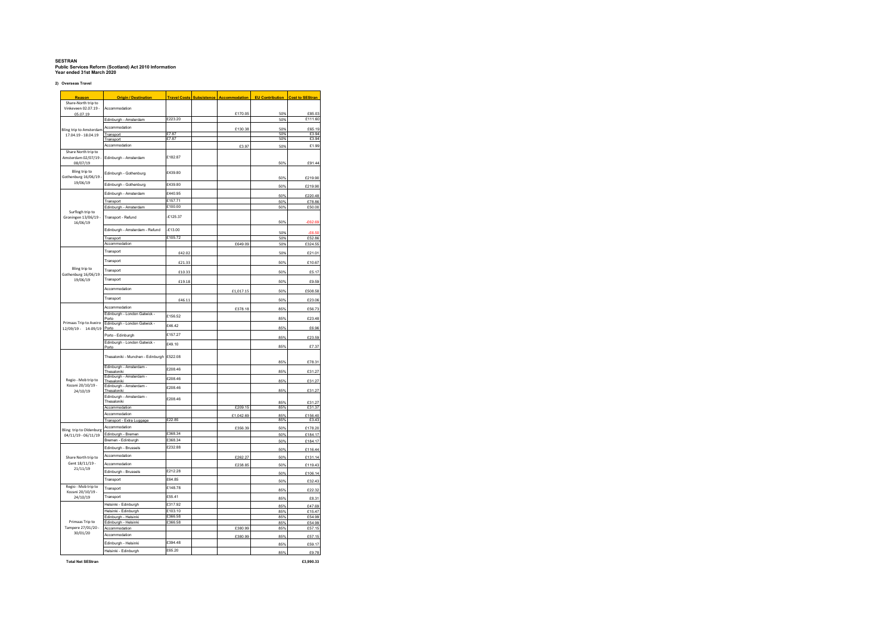**2) Overseas Travel**

| Reason                                                | <b>Origin / Destination</b>                    | <b>Travel Costs</b> | <b>Subsistence</b> | <b>Accommodation</b> | <b>EU Contribution</b> | <b>Cost to SEStran</b> |
|-------------------------------------------------------|------------------------------------------------|---------------------|--------------------|----------------------|------------------------|------------------------|
| Share-North trip to<br>Vinkeyeen 02 07 19 -           | Accommodation                                  |                     |                    |                      |                        |                        |
| 05.07.19                                              | Edinburgh - Amsterdam                          | £223.20             |                    | £170.05              | 50%<br>50%             | £85.03<br>£111.60      |
|                                                       | Accommodation                                  |                     |                    |                      |                        |                        |
| <b>Bling trip to Amsterdam</b>                        |                                                | £7.87               |                    | £130.38              | 50%<br>50%             | £65.19<br>£3.94        |
| 17.04.19 - 18.04.19                                   | Transport<br>Transport                         | £7.87               |                    |                      | 50%                    | £3.94                  |
|                                                       | Accommodation                                  |                     |                    | £3.97                | 50%                    | £1.99                  |
| Share North trip to<br>Amsterdam 02/07/19<br>08/07/19 | Edinburgh - Amsterdam                          | £182.87             |                    |                      | 50%                    | £91.44                 |
| Bling trip to<br>Gothenburg 16/06/19                  | Edinburgh - Gothenburg                         | £439.80             |                    |                      | 50%                    | £219.90                |
| 19/06/19                                              | Edinburgh - Gothenburg                         | £439.80             |                    |                      | 50%                    | £219.90                |
|                                                       | Edinburgh - Amsterdam                          | £440.95             |                    |                      |                        |                        |
|                                                       | Transport                                      | £157.71             |                    |                      | 50%<br>50%             | £220.48<br>£78.86      |
|                                                       | Edinburgh - Amsterdam                          | £100.00             |                    |                      | 50%                    | £50.00                 |
| Surflogh trip to<br>Groningen 13/06/19 -<br>16/06/19  | Transport - Refund                             | $-£125.37$          |                    |                      | 50%                    | £62.69                 |
|                                                       | Edinburgh - Amsterdam - Refund                 | £13.00              |                    |                      | 50%                    | <b>PR 50</b>           |
|                                                       | Transport                                      | £105.72             |                    |                      | 50%                    | £52.86                 |
|                                                       | Accommodation                                  |                     |                    | £649.09              | 50%                    | £324.55                |
|                                                       | Transport                                      | £42.02              |                    |                      | 50%                    | £21.01                 |
|                                                       | Transport                                      | £21.33              |                    |                      | 50%                    | £10.67                 |
| Bling trip to                                         | Transport                                      | £10.33              |                    |                      | 50%                    | £5.17                  |
| Gothenburg 16/06/19<br>19/06/19                       | Transport                                      | £19.18              |                    |                      | 50%                    | £9.59                  |
|                                                       | Accommodation                                  |                     |                    | £1,017.15            | 50%                    | £508.58                |
|                                                       | Transport                                      | £46.11              |                    |                      | 50%                    | £23.06                 |
|                                                       | Accommodation                                  |                     |                    | £378.18              | 85%                    | £56.73                 |
|                                                       | Edinburgh - London Gatwick -                   | £156.52             |                    |                      |                        |                        |
| Primaas Trip to Aveiro<br>12/09/19 - 14-09/19         | Porto<br>Edinburgh - London Gatwick -<br>Porto | £46.42              |                    |                      | 85%<br>85%             | £23.48<br>£6.96        |
|                                                       | Porto - Edinburgh                              | £157.27             |                    |                      | 85%                    | £23.59                 |
|                                                       | Edinburgh - London Gatwick -<br>Porto          | £49.10              |                    |                      | 85%                    | £7.37                  |
|                                                       | Thesaloniki - Munchen - Edinburgh              | £522.08             |                    |                      |                        |                        |
|                                                       | Edinburgh - Amsterdam -                        | £208.46             |                    |                      | 85%                    | £78.31                 |
|                                                       | Thesaloniki<br>Edinburgh - Amsterdam -         | £208.46             |                    |                      | 85%                    | £31.27                 |
| Regio - Mob trip to<br>Kozani 20/10/19 -              | Thesaloniki<br>Edinburgh - Amsterdam -         | £208.46             |                    |                      | 85%                    | £31.27                 |
| 24/10/19                                              | Thesaloniki<br>Edinburgh - Amsterdam -         |                     |                    |                      | 85%                    | £31.27                 |
|                                                       | Thesaloniki                                    | £208.46             |                    |                      | 85%                    | £31.27                 |
|                                                       | Accommodation                                  |                     |                    | £209.15              | 85%                    | £31.37                 |
|                                                       | Accommodation<br>Transport - Extra Luggage     | £22.85              |                    | £1,042.69            | 85%<br>85%             | £156.40<br>£3.43       |
|                                                       | Accommodation                                  |                     |                    |                      |                        |                        |
| Bling trip to Oldenburg                               | Edinburgh - Bremen                             | £368.34             |                    | £356.39              | 50%<br>50%             | £178.20<br>£184.17     |
| 04/11/19 - 06/11/19                                   | Bremen - Edinburgh                             | £368.34             |                    |                      | 50%                    | £184.17                |
|                                                       | Edinburgh - Brussels                           | £232.88             |                    |                      | 50%                    | £116.44                |
| Share North trip to                                   | Accommodation                                  |                     |                    | £262.27              | 50%                    | £131.14                |
| Gent 18/11/19 -                                       | Accommodation                                  |                     |                    | £238.85              | 50%                    | £119.43                |
| 21/11/19                                              | Edinburgh - Brussels                           | £212.28             |                    |                      | 50%                    | £106.14                |
|                                                       | Transport                                      | £64.85              |                    |                      |                        |                        |
| Regio - Mob trip to                                   | Transport                                      | £148.78             |                    |                      | 50%                    | £32.43                 |
| Kozani 20/10/19 -                                     | Transport                                      | £55.41              |                    |                      | 85%                    | F22.32                 |
| 24/10/19                                              |                                                | £317.92             |                    |                      | 85%                    | £8.31                  |
|                                                       | Helsinki - Edinburgh<br>Helsinki - Edinburgh   | £103.10             |                    |                      | 85%<br>85%             | £47.69<br>£15.47       |
|                                                       | Edinburgh - Helsinki                           | £366.58             |                    |                      | 85%                    | £54.99                 |
| Primaas Trip to                                       | Edinburgh - Helsinki                           | £366.58             |                    |                      | 85%                    | £54.99                 |
| Tampere 27/01/20 -<br>30/01/20                        | Accommodation                                  |                     |                    | £380.99              | 85%                    | £57.15                 |
|                                                       | Accommodation                                  |                     |                    | £380.99              | 85%                    | £57.15                 |
|                                                       | Edinburgh - Helsinki                           | £394.48<br>£65.20   |                    |                      | 85%                    | £59.17                 |
|                                                       | Helsinki - Edinburgh                           |                     |                    |                      | 85%                    | £9.78                  |

**Total Net SEStran £3,990.33**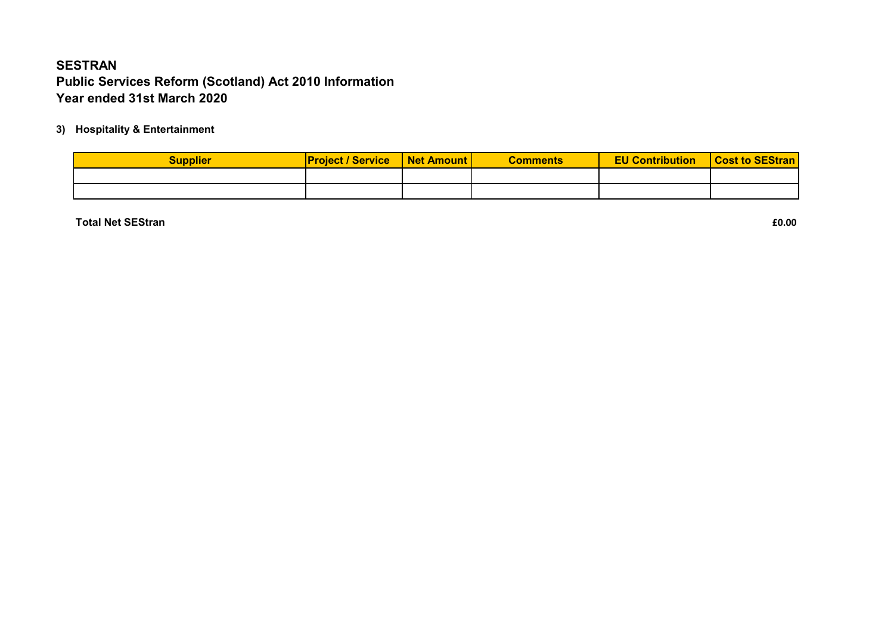### **3) Hospitality & Entertainment**

| <b>Supplier</b> | <b>Project / Service</b> | Net Amount | <b>Comments</b> | <b>EU Contribution</b> | <b>Cost to SEStran</b> |
|-----------------|--------------------------|------------|-----------------|------------------------|------------------------|
|                 |                          |            |                 |                        |                        |
|                 |                          |            |                 |                        |                        |

**Total Net SEStran £0.00**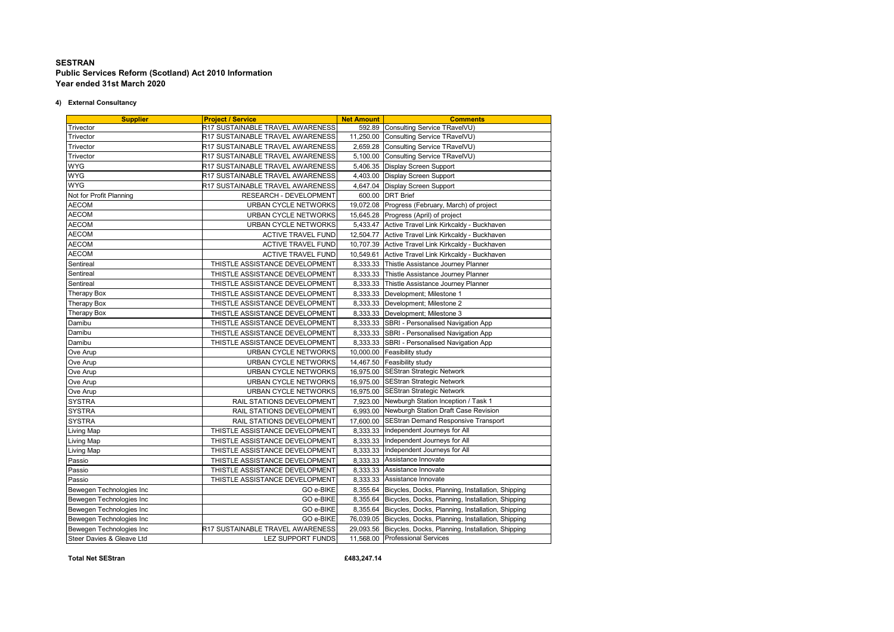#### **4) External Consultancy**

| <b>Supplier</b>           | <b>Project / Service</b>         | <b>Net Amount</b> | <b>Comments</b>                                             |
|---------------------------|----------------------------------|-------------------|-------------------------------------------------------------|
| Trivector                 | R17 SUSTAINABLE TRAVEL AWARENESS |                   | 592.89 Consulting Service TRavelVU)                         |
| Trivector                 | R17 SUSTAINABLE TRAVEL AWARENESS |                   | 11,250.00 Consulting Service TRavelVU)                      |
| Trivector                 | R17 SUSTAINABLE TRAVEL AWARENESS |                   | 2,659.28 Consulting Service TRavelVU)                       |
| Trivector                 | R17 SUSTAINABLE TRAVEL AWARENESS |                   | 5,100.00 Consulting Service TRavelVU)                       |
| <b>WYG</b>                | R17 SUSTAINABLE TRAVEL AWARENESS | 5,406.35          | Display Screen Support                                      |
| WYG                       | R17 SUSTAINABLE TRAVEL AWARENESS | 4,403.00          | Display Screen Support                                      |
| <b>WYG</b>                | R17 SUSTAINABLE TRAVEL AWARENESS |                   | 4,647.04 Display Screen Support                             |
| Not for Profit Planning   | RESEARCH - DEVELOPMENT           | 600.00            | <b>DRT</b> Brief                                            |
| <b>AECOM</b>              | URBAN CYCLE NETWORKS             |                   | 19,072.08 Progress (February, March) of project             |
| <b>AECOM</b>              | URBAN CYCLE NETWORKS             | 15,645.28         | Progress (April) of project                                 |
| <b>AECOM</b>              | URBAN CYCLE NETWORKS             | 5,433.47          | Active Travel Link Kirkcaldy - Buckhaven                    |
| <b>AECOM</b>              | <b>ACTIVE TRAVEL FUND</b>        |                   | 12,504.77 Active Travel Link Kirkcaldy - Buckhaven          |
| <b>AECOM</b>              | <b>ACTIVE TRAVEL FUND</b>        | 10,707.39         | Active Travel Link Kirkcaldy - Buckhaven                    |
| <b>AECOM</b>              | <b>ACTIVE TRAVEL FUND</b>        | 10,549.61         | Active Travel Link Kirkcaldy - Buckhaven                    |
| Sentireal                 | THISTLE ASSISTANCE DEVELOPMENT   | 8,333.33          | Thistle Assistance Journey Planner                          |
| Sentireal                 | THISTLE ASSISTANCE DEVELOPMENT   |                   | 8,333.33 Thistle Assistance Journey Planner                 |
| Sentireal                 | THISTLE ASSISTANCE DEVELOPMENT   |                   | 8,333.33 Thistle Assistance Journey Planner                 |
| Therapy Box               | THISTLE ASSISTANCE DEVELOPMENT   | 8,333.33          | Development; Milestone 1                                    |
| Therapy Box               | THISTLE ASSISTANCE DEVELOPMENT   |                   | 8,333.33 Development; Milestone 2                           |
| Therapy Box               | THISTLE ASSISTANCE DEVELOPMENT   |                   | 8,333.33 Development; Milestone 3                           |
| Damibu                    | THISTLE ASSISTANCE DEVELOPMENT   | 8,333.33          | SBRI - Personalised Navigation App                          |
| Damibu                    | THISTLE ASSISTANCE DEVELOPMENT   | 8,333.33          | SBRI - Personalised Navigation App                          |
| Damibu                    | THISTLE ASSISTANCE DEVELOPMENT   | 8,333.33          | SBRI - Personalised Navigation App                          |
| Ove Arup                  | URBAN CYCLE NETWORKS             |                   | 10,000.00 Feasibility study                                 |
| Ove Arup                  | URBAN CYCLE NETWORKS             |                   | 14,467.50 Feasibility study                                 |
| Ove Arup                  | URBAN CYCLE NETWORKS             |                   | 16,975.00 SEStran Strategic Network                         |
| Ove Arup                  | URBAN CYCLE NETWORKS             |                   | 16,975.00 SEStran Strategic Network                         |
| Ove Arup                  | URBAN CYCLE NETWORKS             |                   | 16,975.00 SEStran Strategic Network                         |
| <b>SYSTRA</b>             | RAIL STATIONS DEVELOPMENT        |                   | 7,923.00 Newburgh Station Inception / Task 1                |
| <b>SYSTRA</b>             | RAIL STATIONS DEVELOPMENT        |                   | 6.993.00 Newburgh Station Draft Case Revision               |
| <b>SYSTRA</b>             | RAIL STATIONS DEVELOPMENT        | 17,600.00         | <b>SEStran Demand Responsive Transport</b>                  |
| Living Map                | THISTLE ASSISTANCE DEVELOPMENT   |                   | 8,333.33 Independent Journeys for All                       |
| Living Map                | THISTLE ASSISTANCE DEVELOPMENT   |                   | 8,333.33 Independent Journeys for All                       |
| Living Map                | THISTLE ASSISTANCE DEVELOPMENT   |                   | 8,333.33 Independent Journeys for All                       |
| Passio                    | THISTLE ASSISTANCE DEVELOPMENT   | 8,333.33          | Assistance Innovate                                         |
| Passio                    | THISTLE ASSISTANCE DEVELOPMENT   | 8,333.33          | Assistance Innovate                                         |
| Passio                    | THISTLE ASSISTANCE DEVELOPMENT   |                   | 8,333.33 Assistance Innovate                                |
| Bewegen Technologies Inc  | GO e-BIKE                        |                   | 8,355.64 Bicycles, Docks, Planning, Installation, Shipping  |
| Bewegen Technologies Inc  | GO e-BIKE                        |                   | 8,355.64 Bicycles, Docks, Planning, Installation, Shipping  |
| Bewegen Technologies Inc  | GO e-BIKE                        |                   | 8,355.64 Bicycles, Docks, Planning, Installation, Shipping  |
| Bewegen Technologies Inc  | GO e-BIKE                        |                   | 76,039.05 Bicycles, Docks, Planning, Installation, Shipping |
| Bewegen Technologies Inc  | R17 SUSTAINABLE TRAVEL AWARENESS |                   | 29,093.56 Bicycles, Docks, Planning, Installation, Shipping |
| Steer Davies & Gleave Ltd | LEZ SUPPORT FUNDS                |                   | 11,568.00 Professional Services                             |
|                           |                                  |                   |                                                             |

**Total Net SEStran £483,247.14**